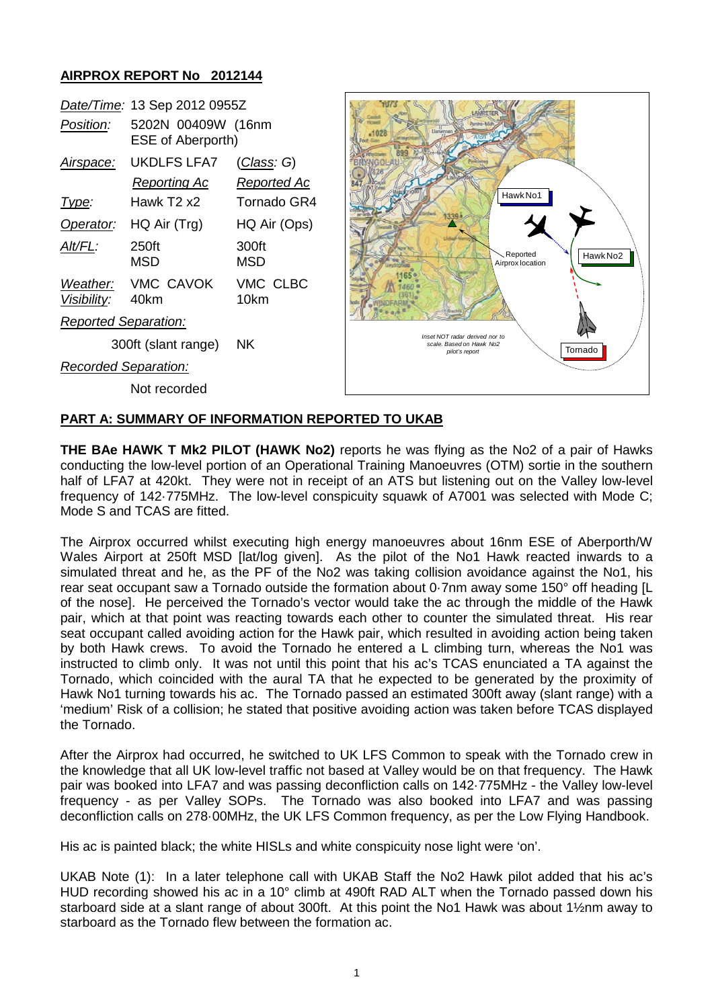### **AIRPROX REPORT No 2012144**

|                                | Date/Time: 13 Sep 2012 0955Z                   |                     |
|--------------------------------|------------------------------------------------|---------------------|
| Position:                      | 5202N 00409W (16nm<br><b>ESE of Aberporth)</b> |                     |
| Airspace:                      | UKDLFS LFA7                                    | <u>(Class</u> : G)  |
|                                | Reporting Ac                                   | Reported Ac         |
| Type:                          | Hawk T2 x2                                     | Tornado GR4         |
| Operator:                      | HQ Air (Trg)                                   | HQ Air (Ops)        |
| Alt/FL:                        | 250ft<br>MSD                                   | 300ft<br><b>MSD</b> |
| <i>Weather:</i><br>Visibility: | VMC CAVOK<br>40km                              | VMC CLBC<br>10km    |
| Reported Separation:           |                                                |                     |
|                                | 300ft (slant range)                            | ΝK                  |
| <b>Recorded Separation:</b>    |                                                |                     |

Hawk No1 Reported Hawk No2 Airprox location 1165 *Inset NOT radar derived nor to scale. Based on Hawk No2* Tornado *pilot's report*

# Not recorded

### **PART A: SUMMARY OF INFORMATION REPORTED TO UKAB**

**THE BAe HAWK T Mk2 PILOT (HAWK No2)** reports he was flying as the No2 of a pair of Hawks conducting the low-level portion of an Operational Training Manoeuvres (OTM) sortie in the southern half of LFA7 at 420kt. They were not in receipt of an ATS but listening out on the Valley low-level frequency of 142·775MHz. The low-level conspicuity squawk of A7001 was selected with Mode C; Mode S and TCAS are fitted.

The Airprox occurred whilst executing high energy manoeuvres about 16nm ESE of Aberporth/W Wales Airport at 250ft MSD [lat/log given]. As the pilot of the No1 Hawk reacted inwards to a simulated threat and he, as the PF of the No2 was taking collision avoidance against the No1, his rear seat occupant saw a Tornado outside the formation about 0·7nm away some 150° off heading [L of the nose]. He perceived the Tornado's vector would take the ac through the middle of the Hawk pair, which at that point was reacting towards each other to counter the simulated threat. His rear seat occupant called avoiding action for the Hawk pair, which resulted in avoiding action being taken by both Hawk crews. To avoid the Tornado he entered a L climbing turn, whereas the No1 was instructed to climb only. It was not until this point that his ac's TCAS enunciated a TA against the Tornado, which coincided with the aural TA that he expected to be generated by the proximity of Hawk No1 turning towards his ac. The Tornado passed an estimated 300ft away (slant range) with a 'medium' Risk of a collision; he stated that positive avoiding action was taken before TCAS displayed the Tornado.

After the Airprox had occurred, he switched to UK LFS Common to speak with the Tornado crew in the knowledge that all UK low-level traffic not based at Valley would be on that frequency. The Hawk pair was booked into LFA7 and was passing deconfliction calls on 142·775MHz - the Valley low-level frequency - as per Valley SOPs. The Tornado was also booked into LFA7 and was passing deconfliction calls on 278·00MHz, the UK LFS Common frequency, as per the Low Flying Handbook.

His ac is painted black; the white HISLs and white conspicuity nose light were 'on'.

UKAB Note (1): In a later telephone call with UKAB Staff the No2 Hawk pilot added that his ac's HUD recording showed his ac in a 10° climb at 490ft RAD ALT when the Tornado passed down his starboard side at a slant range of about 300ft. At this point the No1 Hawk was about 1½nm away to starboard as the Tornado flew between the formation ac.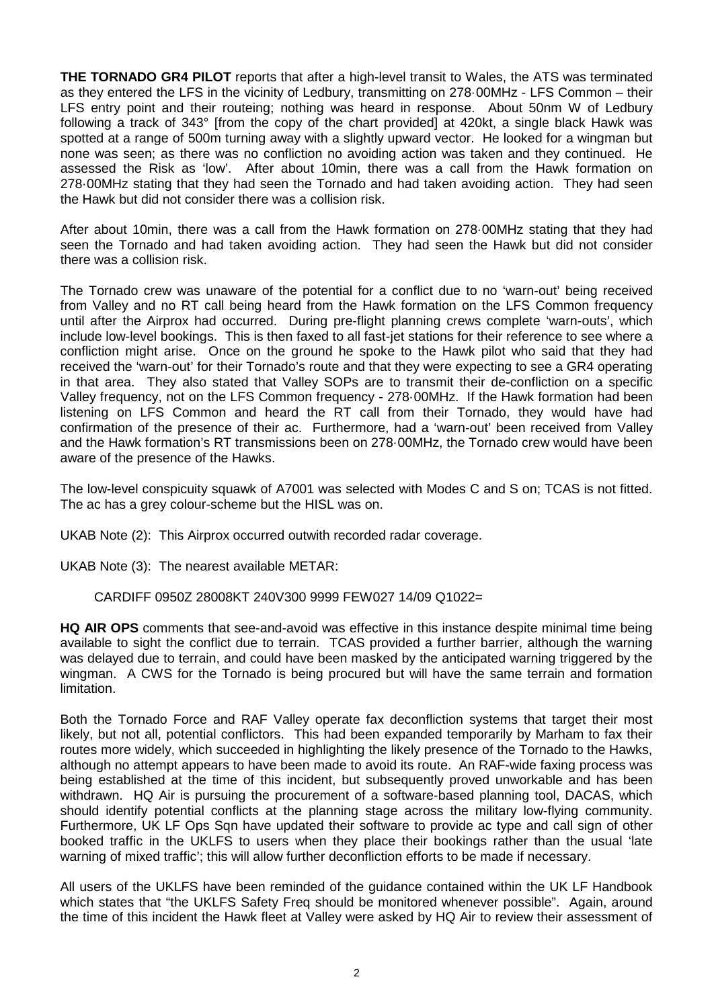**THE TORNADO GR4 PILOT** reports that after a high-level transit to Wales, the ATS was terminated as they entered the LFS in the vicinity of Ledbury, transmitting on 278·00MHz - LFS Common – their LFS entry point and their routeing; nothing was heard in response. About 50nm W of Ledbury following a track of 343° [from the copy of the chart provided] at 420kt, a single black Hawk was spotted at a range of 500m turning away with a slightly upward vector. He looked for a wingman but none was seen; as there was no confliction no avoiding action was taken and they continued. He assessed the Risk as 'low'. After about 10min, there was a call from the Hawk formation on 278·00MHz stating that they had seen the Tornado and had taken avoiding action. They had seen the Hawk but did not consider there was a collision risk.

After about 10min, there was a call from the Hawk formation on 278·00MHz stating that they had seen the Tornado and had taken avoiding action. They had seen the Hawk but did not consider there was a collision risk.

The Tornado crew was unaware of the potential for a conflict due to no 'warn-out' being received from Valley and no RT call being heard from the Hawk formation on the LFS Common frequency until after the Airprox had occurred. During pre-flight planning crews complete 'warn-outs', which include low-level bookings. This is then faxed to all fast-jet stations for their reference to see where a confliction might arise. Once on the ground he spoke to the Hawk pilot who said that they had received the 'warn-out' for their Tornado's route and that they were expecting to see a GR4 operating in that area. They also stated that Valley SOPs are to transmit their de-confliction on a specific Valley frequency, not on the LFS Common frequency - 278·00MHz. If the Hawk formation had been listening on LFS Common and heard the RT call from their Tornado, they would have had confirmation of the presence of their ac. Furthermore, had a 'warn-out' been received from Valley and the Hawk formation's RT transmissions been on 278·00MHz, the Tornado crew would have been aware of the presence of the Hawks.

The low-level conspicuity squawk of A7001 was selected with Modes C and S on; TCAS is not fitted. The ac has a grey colour-scheme but the HISL was on.

UKAB Note (2): This Airprox occurred outwith recorded radar coverage.

UKAB Note (3): The nearest available METAR:

CARDIFF 0950Z 28008KT 240V300 9999 FEW027 14/09 Q1022=

**HQ AIR OPS** comments that see-and-avoid was effective in this instance despite minimal time being available to sight the conflict due to terrain. TCAS provided a further barrier, although the warning was delayed due to terrain, and could have been masked by the anticipated warning triggered by the wingman. A CWS for the Tornado is being procured but will have the same terrain and formation limitation.

Both the Tornado Force and RAF Valley operate fax deconfliction systems that target their most likely, but not all, potential conflictors. This had been expanded temporarily by Marham to fax their routes more widely, which succeeded in highlighting the likely presence of the Tornado to the Hawks, although no attempt appears to have been made to avoid its route. An RAF-wide faxing process was being established at the time of this incident, but subsequently proved unworkable and has been withdrawn. HQ Air is pursuing the procurement of a software-based planning tool, DACAS, which should identify potential conflicts at the planning stage across the military low-flying community. Furthermore, UK LF Ops Sqn have updated their software to provide ac type and call sign of other booked traffic in the UKLFS to users when they place their bookings rather than the usual 'late warning of mixed traffic'; this will allow further deconfliction efforts to be made if necessary.

All users of the UKLFS have been reminded of the guidance contained within the UK LF Handbook which states that "the UKLFS Safety Freq should be monitored whenever possible". Again, around the time of this incident the Hawk fleet at Valley were asked by HQ Air to review their assessment of